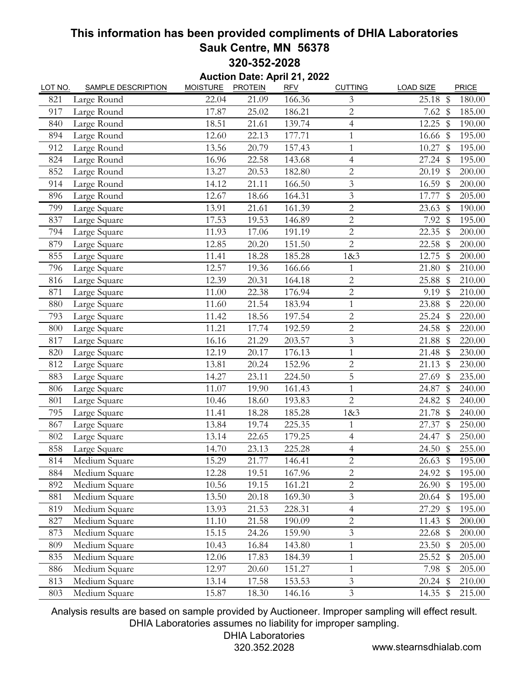## **This information has been provided compliments of DHIA Laboratories Sauk Centre, MN 56378 320-352-2028**

**Auction Date: April 21, 2022**

| LOT NO. | <b>SAMPLE DESCRIPTION</b> | <b>MOISTURE</b> | <b>PROTEIN</b> | <b>RFV</b> | <b>CUTTING</b>              | <b>LOAD SIZE</b>                    | PRICE  |
|---------|---------------------------|-----------------|----------------|------------|-----------------------------|-------------------------------------|--------|
| 821     | Large Round               | 22.04           | 21.09          | 166.36     | 3                           | $\boldsymbol{\mathcal{S}}$<br>25.18 | 180.00 |
| 917     | Large Round               | 17.87           | 25.02          | 186.21     | $\overline{2}$              | 7.62~\$                             | 185.00 |
| 840     | Large Round               | 18.51           | 21.61          | 139.74     | $\overline{4}$              | 12.25<br>\$                         | 190.00 |
| 894     | Large Round               | 12.60           | 22.13          | 177.71     | $\mathbf{1}$                | 16.66 \$                            | 195.00 |
| 912     | Large Round               | 13.56           | 20.79          | 157.43     | $\mathbf{1}$                | 10.27<br>$\mathbb{S}$               | 195.00 |
| 824     | Large Round               | 16.96           | 22.58          | 143.68     | $\overline{4}$              | $27.24$ \$                          | 195.00 |
| 852     | Large Round               | 13.27           | 20.53          | 182.80     | $\overline{c}$              | $\mathfrak{S}$<br>20.19             | 200.00 |
| 914     | Large Round               | 14.12           | 21.11          | 166.50     | $\overline{3}$              | 16.59<br>\$                         | 200.00 |
| 896     | Large Round               | 12.67           | 18.66          | 164.31     | $\overline{3}$              | 17.77<br>$\mathbb S$                | 205.00 |
| 799     | Large Square              | 13.91           | 21.61          | 161.39     | $\overline{c}$              | 23.63<br>$\mathbb{S}$               | 190.00 |
| 837     | Large Square              | 17.53           | 19.53          | 146.89     | $\mathbf{2}$                | 7.92<br>\$                          | 195.00 |
| 794     | Large Square              | 11.93           | 17.06          | 191.19     | $\sqrt{2}$                  | $22.35$ \$                          | 200.00 |
| 879     | Large Square              | 12.85           | 20.20          | 151.50     | $\overline{2}$              | 22.58<br>$\sqrt[6]{\frac{1}{2}}$    | 200.00 |
| 855     | Large Square              | 11.41           | 18.28          | 185.28     | 18 <sub>c</sub> 3           | 12.75<br>\$                         | 200.00 |
| 796     | Large Square              | 12.57           | 19.36          | 166.66     | 1                           | 21.80<br>- \$                       | 210.00 |
| 816     | Large Square              | 12.39           | 20.31          | 164.18     | $\overline{2}$              | 25.88<br>$\mathbb S$                | 210.00 |
| 871     | Large Square              | 11.00           | 22.38          | 176.94     | $\mathbf 2$                 | 9.19<br>$\sqrt[6]{\frac{1}{2}}$     | 210.00 |
| 880     | Large Square              | 11.60           | 21.54          | 183.94     | 1                           | $\mathbb S$<br>23.88                | 220.00 |
| 793     | Large Square              | 11.42           | 18.56          | 197.54     | $\overline{2}$              | 25.24<br>$\mathbb S$                | 220.00 |
| 800     | Large Square              | 11.21           | 17.74          | 192.59     | $\mathbf{2}$                | 24.58 \$                            | 220.00 |
| 817     | Large Square              | 16.16           | 21.29          | 203.57     | 3                           | 21.88<br>-\$                        | 220.00 |
| 820     | Large Square              | 12.19           | 20.17          | 176.13     | $\mathbf{1}$                | 21.48<br>$\mathbb S$                | 230.00 |
| 812     | Large Square              | 13.81           | 20.24          | 152.96     | $\sqrt{2}$                  | 21.13<br>$\sqrt[6]{\frac{1}{2}}$    | 230.00 |
| 883     | Large Square              | 14.27           | 23.11          | 224.50     | 5                           | 27.69<br>-\$                        | 235.00 |
| 806     | Large Square              | 11.07           | 19.90          | 161.43     | $\mathbf{1}$                | 24.87<br>$\mathbb{S}$               | 240.00 |
| 801     | Large Square              | 10.46           | 18.60          | 193.83     | $\overline{c}$              | \$<br>24.82                         | 240.00 |
| 795     | Large Square              | 11.41           | 18.28          | 185.28     | 18 <sub>c</sub> 3           | 21.78<br>\$                         | 240.00 |
| 867     | Large Square              | 13.84           | 19.74          | 225.35     | $\mathbf{1}$                | 27.37<br>$\mathbb S$                | 250.00 |
| 802     | Large Square              | 13.14           | 22.65          | 179.25     | $\overline{4}$              | $\sqrt[6]{\frac{1}{2}}$<br>24.47    | 250.00 |
| 858     | Large Square              | 14.70           | 23.13          | 225.28     | $\overline{4}$              | 24.50<br>$\sqrt[6]{\frac{1}{2}}$    | 255.00 |
| 814     | Medium Square             | 15.29           | 21.77          | 146.41     | $\overline{2}$              | 26.63~\$                            | 195.00 |
| 884     | Medium Square             | 12.28           | 19.51          | 167.96     | $\overline{c}$              | 24.92 \$                            | 195.00 |
| 892     | Medium Square             | 10.56           | 19.15          | 161.21     | $\overline{2}$              | $26.90\text{ }$ \$                  | 195.00 |
| 881     | Medium Square             | 13.50           | 20.18          | 169.30     | 3                           | $20.64$ \$                          | 195.00 |
| 819     | Medium Square             | 13.93           | 21.53          | 228.31     | $\overline{4}$              | 27.29<br>- \$                       | 195.00 |
| 827     | Medium Square             | 11.10           | 21.58          | 190.09     | $\overline{2}$              | 11.43<br>\$                         | 200.00 |
| 873     | Medium Square             | 15.15           | 24.26          | 159.90     | $\ensuremath{\mathfrak{Z}}$ | $22.68$ \$                          | 200.00 |
| 809     | Medium Square             | 10.43           | 16.84          | 143.80     | $\mathbf{1}$                | $23.50$ \$                          | 205.00 |
| 835     | Medium Square             | 12.06           | 17.83          | 184.39     | $\mathbf 1$                 | 25.52 \$                            | 205.00 |
| 886     | Medium Square             | 12.97           | 20.60          | 151.27     | $\mathbf{1}$                | 7.98 \$                             | 205.00 |
| 813     | Medium Square             | 13.14           | 17.58          | 153.53     | $\mathfrak{Z}$              | $20.24$ \$                          | 210.00 |
| 803     | Medium Square             | 15.87           | 18.30          | 146.16     | $\mathfrak{Z}$              | 14.35 \$                            | 215.00 |

Analysis results are based on sample provided by Auctioneer. Improper sampling will effect result. DHIA Laboratories assumes no liability for improper sampling.

DHIA Laboratories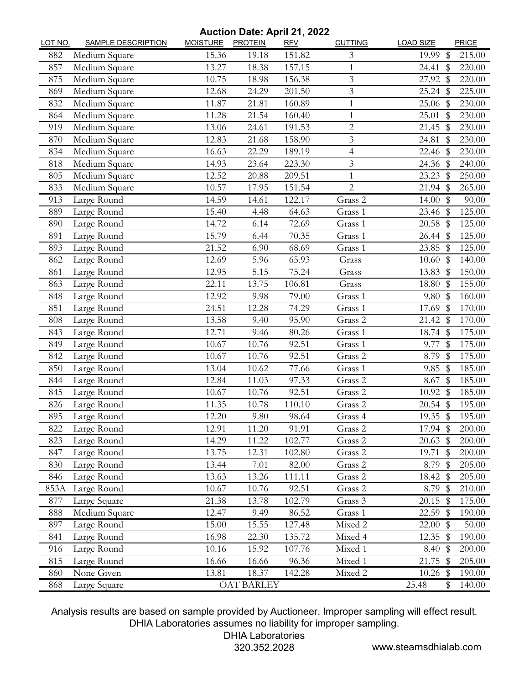## **Auction Date: April 21, 2022**

| LOT NO. | <b>SAMPLE DESCRIPTION</b> | <b>MOISTURE</b> | <b>PROTEIN</b>    | <b>RFV</b> | <b>CUTTING</b>           | <b>LOAD SIZE</b> |                         | PRICE  |
|---------|---------------------------|-----------------|-------------------|------------|--------------------------|------------------|-------------------------|--------|
| 882     | Medium Square             | 15.36           | 19.18             | 151.82     | 3                        | 19.99            | \$                      | 215.00 |
| 857     | Medium Square             | 13.27           | 18.38             | 157.15     | 1                        | 24.41            | \$                      | 220.00 |
| 875     | Medium Square             | 10.75           | 18.98             | 156.38     | 3                        | 27.92 \$         |                         | 220.00 |
| 869     | Medium Square             | 12.68           | 24.29             | 201.50     | 3                        | 25.24 \$         |                         | 225.00 |
| 832     | Medium Square             | 11.87           | 21.81             | 160.89     | 1                        | $25.06$ \$       |                         | 230.00 |
| 864     | Medium Square             | 11.28           | 21.54             | 160.40     | $\mathbf{1}$             | 25.01            | $\sqrt[6]{\frac{1}{2}}$ | 230.00 |
| 919     | Medium Square             | 13.06           | 24.61             | 191.53     | $\overline{c}$           | 21.45            | - \$                    | 230.00 |
| 870     | Medium Square             | 12.83           | 21.68             | 158.90     | 3                        | 24.81            | $\mathbb S$             | 230.00 |
| 834     | Medium Square             | 16.63           | 22.29             | 189.19     | $\overline{\mathcal{L}}$ | 22.46 \$         |                         | 230.00 |
| 818     | Medium Square             | 14.93           | 23.64             | 223.30     | 3                        | 24.36 \$         |                         | 240.00 |
| 805     | Medium Square             | 12.52           | 20.88             | 209.51     | 1                        | 23.23            | $\mathbb S$             | 250.00 |
| 833     | Medium Square             | 10.57           | 17.95             | 151.54     | $\overline{2}$           | $21.94$ \$       |                         | 265.00 |
| 913     | Large Round               | 14.59           | 14.61             | 122.17     | Grass 2                  | 14.00            | $\sqrt[6]{\frac{1}{2}}$ | 90.00  |
| 889     | Large Round               | 15.40           | 4.48              | 64.63      | Grass 1                  | 23.46            | \$                      | 125.00 |
| 890     | Large Round               | 14.72           | 6.14              | 72.69      | Grass 1                  | $20.58$ \$       |                         | 125.00 |
| 891     | Large Round               | 15.79           | 6.44              | 70.35      | Grass 1                  | 26.44 \$         |                         | 125.00 |
| 893     | Large Round               | 21.52           | 6.90              | 68.69      | Grass 1                  | 23.85            | \$                      | 125.00 |
| 862     | Large Round               | 12.69           | 5.96              | 65.93      | Grass                    | 10.60~\$         |                         | 140.00 |
| 861     | Large Round               | 12.95           | 5.15              | 75.24      | Grass                    | 13.83            | $\sqrt[6]{\frac{1}{2}}$ | 150.00 |
| 863     | Large Round               | 22.11           | 13.75             | 106.81     | Grass                    | 18.80            | $\mathbb{S}$            | 155.00 |
| 848     | Large Round               | 12.92           | 9.98              | 79.00      | Grass 1                  | 9.80             | \$                      | 160.00 |
| 851     | Large Round               | 24.51           | 12.28             | 74.29      | Grass 1                  | 17.69            | \$                      | 170.00 |
| 808     | Large Round               | 13.58           | 9.40              | 95.90      | Grass 2                  | 21.42 \$         |                         | 170.00 |
| 843     | Large Round               | 12.71           | 9.46              | 80.26      | Grass 1                  | 18.74 \$         |                         | 175.00 |
| 849     | Large Round               | 10.67           | 10.76             | 92.51      | Grass 1                  | 9.77             | \$                      | 175.00 |
| 842     | Large Round               | 10.67           | 10.76             | 92.51      | Grass 2                  | 8.79             | \$                      | 175.00 |
| 850     | Large Round               | 13.04           | 10.62             | 77.66      | Grass 1                  | 9.85             | $\sqrt[6]{\frac{1}{2}}$ | 185.00 |
| 844     | Large Round               | 12.84           | 11.03             | 97.33      | Grass 2                  | 8.67             | $\sqrt[6]{\frac{1}{2}}$ | 185.00 |
| 845     | Large Round               | 10.67           | 10.76             | 92.51      | Grass 2                  | 10.92 \$         |                         | 185.00 |
| 826     | Large Round               | 11.35           | 10.78             | 110.10     | Grass 2                  | 20.54            | $\mathbb S$             | 195.00 |
| 895     | Large Round               | 12.20           | 9.80              | 98.64      | Grass 4                  | 19.35 \$         |                         | 195.00 |
| 822     | Large Round               | 12.91           | 11.20             | 91.91      | Grass 2                  | 17.94 \$         |                         | 200.00 |
| 823     | Large Round               | 14.29           | 11.22             | 102.77     | Grass 2                  | $20.63$ \$       |                         | 200.00 |
| 847     | Large Round               | 13.75           | 12.31             | 102.80     | Grass 2                  | 19.71            | $\sqrt[6]{\frac{1}{2}}$ | 200.00 |
| 830     | Large Round               | 13.44           | 7.01              | 82.00      | Grass 2                  | 8.79 \$          |                         | 205.00 |
| 846     | Large Round               | 13.63           | 13.26             | 111.11     | Grass 2                  | 18.42 \$         |                         | 205.00 |
| 853A    | Large Round               | 10.67           | 10.76             | 92.51      | Grass 2                  | 8.79 \$          |                         | 210.00 |
| 877     | Large Square              | 21.38           | 13.78             | 102.79     | Grass 3                  | $20.15$ \$       |                         | 175.00 |
| 888     | Medium Square             | 12.47           | 9.49              | 86.52      | Grass 1                  | 22.59            | - \$                    | 190.00 |
| 897     | Large Round               | 15.00           | 15.55             | 127.48     | Mixed 2                  | 22.00            | $\mathbb{S}$            | 50.00  |
| 841     | Large Round               | 16.98           | 22.30             | 135.72     | Mixed 4                  | 12.35            | \$                      | 190.00 |
| 916     | Large Round               | 10.16           | 15.92             | 107.76     | Mixed 1                  | 8.40~\$          |                         | 200.00 |
| 815     | Large Round               | 16.66           | 16.66             | 96.36      | Mixed 1                  | 21.75 \$         |                         | 205.00 |
| 860     | None Given                | 13.81           | 18.37             | 142.28     | Mixed 2                  | $10.26$ \$       |                         | 190.00 |
| 868     | Large Square              |                 | <b>OAT BARLEY</b> |            |                          | 25.48            | \$                      | 140.00 |

Analysis results are based on sample provided by Auctioneer. Improper sampling will effect result. DHIA Laboratories assumes no liability for improper sampling.

DHIA Laboratories

320.352.2028 www.stearnsdhialab.com